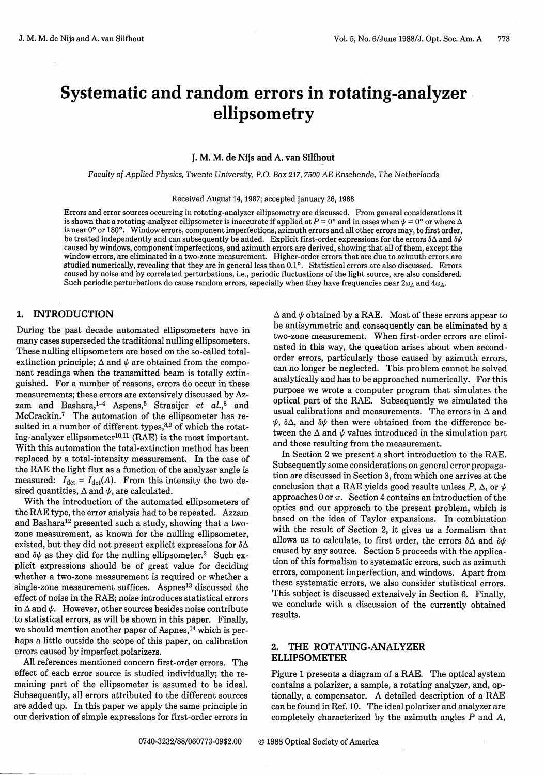# **Systematic and random errors in rotating-analyzer, ellipsometry**

#### J. **M. M. de Nijs and A. van Silfhout**

*Faculty of Applied Physics, Twente University, P.O. Box 217, 7500 AE Enschende,* The *Netherlands*

Received August 14, 1987; accepted January 26, 1988

Errors and error sources occurring in rotating-analyzer ellipsometry are discussed. From general considerations it is shown that a rotating-analyzer ellipsometer is inaccurate if applied at  $P = 0^{\circ}$  and in cases when  $\psi = 0^{\circ}$  or where  $\Delta$ is near 0° or 180°. Window errors, component imperfections, azimuth errors and all other errors may, to first order, be treated independently and can subsequently be added. Explicit first-order expressions for the errors  $\delta\Delta$  and  $\delta\psi$ caused by windows, component imperfections, and azimuth errors are derived, showing that all of them, except the window errors, are eliminated in a two-zone measurement. Higher-order errors that are due to azimuth errors are studied numerically, revealing that they are in general less than 0.10. Statistical errors are also discussed. Errors caused by noise and by correlated perturbations, i.e., periodic fluctuations of the light source, are also considered. Such periodic perturbations do cause random errors, especially when they have frequencies near  $2\omega_A$  and  $4\omega_A$ .

# **1. INTRODUCTION**

During the past decade automated ellipsometers have in many cases superseded the traditional nulling ellipsometers. These nulling ellipsometers are based on the so-called totalextinction principle;  $\Delta$  and  $\psi$  are obtained from the component readings when the transmitted beam is totally extinguished. For a number of reasons, errors do occur in these measurements; these errors are extensively discussed by Azzam and Bashara,<sup>1-4</sup> Aspens,<sup>5</sup> Straaijer *et al.*,<sup>6</sup> and McCrackin7 The automation of the ellipsometer has resulted in a number of different types. $8,9$  of which the rotating-analyzer ellipsometer $10,11$  (RAE) is the most important. With this automation the total-extinction method has been replaced by a total-intensity measurement. In the case of the RAE the light flux as a function of the analyzer angle is measured:  $I_{\text{det}} = I_{\text{det}}(A)$ . From this intensity the two desired quantities,  $\Delta$  and  $\psi$ , are calculated.

With the introduction of the automated ellipsometers of the RAE type, the error analysis had to be repeated. Azzam and Bashara<sup>12</sup> presented such a study, showing that a twozone measurement, as known for the nulling ellipsometer, existed, but they did not present explicit expressions for  $\delta\Delta$ and  $\delta\psi$  as they did for the nulling ellipsometer.<sup>2</sup> Such explicit expressions should be of great value for deciding whether a two-zone measurement is required or whether a single-zone measurement suffices. Aspnes<sup>13</sup> discussed the effect of noise in the RAE; noise introduces statistical errors in  $\Delta$  and  $\psi$ . However, other sources besides noise contribute to statistical errors, as will be shown in this paper. Finally, we should mention another paper of Aspnes,<sup>14</sup> which is perhaps a little outside the scope of this paper, on calibration errors caused by imperfect polarizers.

All references mentioned concern first-order errors. The effect of each error source is studied individually; the remaining part of the ellipsometer is assumed to be ideal. Subsequently, all errors attributed to the different sources are added up. In this paper we apply the same principle in our derivation of simple expressions for first-order errors in

 $\Delta$  and  $\psi$  obtained by a RAE. Most of these errors appear to be antisymmetric and consequently can be eliminated by a two-zone measurement. When first-order errors are eliminated in this way, the question arises about when secondorder errors, particularly those caused by azimuth errors, can no longer be neglected. This problem cannot be solved analytically and has to be approached numerically. For this purpose we wrote a computer program that simulates the optical part of the RAE. Subsequently we simulated the usual calibrations and measurements. The errors in  $\Delta$  and  $\psi$ ,  $\delta\Delta$ , and  $\delta\psi$  then were obtained from the difference between the  $\Delta$  and  $\psi$  values introduced in the simulation part and those resulting from the measurement.

In Section 2 we present a short introduction to the RAE. Subsequently some considerations on general error propagation are discussed in Section 3, from which one arrives at the conclusion that a RAE yields good results unless  $P$ ,  $\Delta$ , or  $\psi$ approaches  $0$  or  $\pi$ . Section 4 contains an introduction of the optics and our approach to the present problem, which is based on the idea of Taylor expansions. In combination with the result of Section 2, it gives us a formalism that allows us to calculate, to first order, the errors  $\delta \Delta$  and  $\delta \psi$ caused by any source. Section 5 proceeds with the application of this formalism to systematic errors, such as azimuth errors, component imperfection, and windows. Apart from these systematic errors, we also consider statistical errors. This subject is discussed extensively in Section 6. Finally, we conclude with a discussion of the currently obtained results.

## **2. THE ROTATING-ANALYZER ELLIPSOMETER**

Figure 1 presents a diagram of a RAE. The optical system contains a polarizer, a sample, a rotating analyzer, and, optionally, a compensator. A detailed description of a RAE can be found in Ref. 10. The ideal polarizer and analyzer are completely characterized by the azimuth angles *P* and *A,*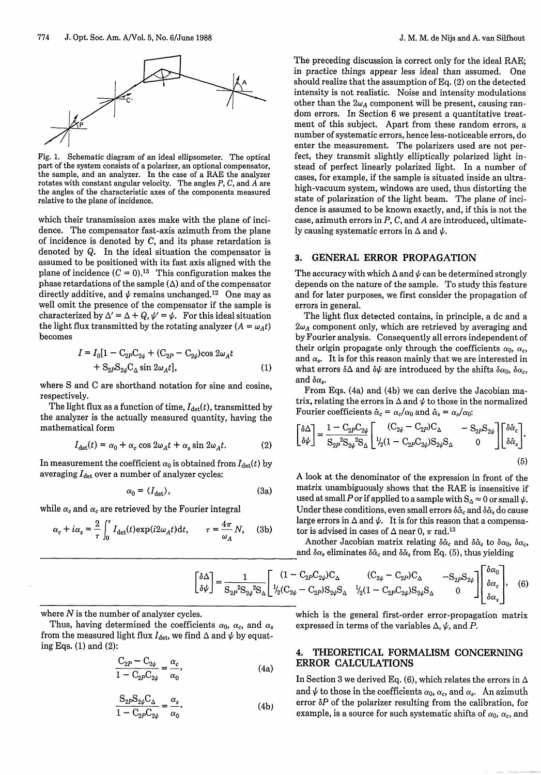

Fig. 1. Schematic diagram of an ideal ellipsometer. The optical part of the system consists of a polarizer, an optional compensator, the sample, and an analyzer. In the case of a RAE the analyzer rotates with constant angular velocity. The angles  $P$ ,  $C$ , and  $A$  are the angles of the characteristic axes of the components measured relative to the plane of incidence.

which their transmission axes make with the plane of incidence. The compensator fast-axis azimuth from the plane of incidence is denoted by C, and its phase retardation is denoted by Q. In the ideal situation the compensator is assumed to be positioned with its fast axis aligned with the plane of incidence  $(C = 0)^{13}$  This configuration makes the phase retardations of the sample  $(\Delta)$  and of the compensator directly additive, and  $\psi$  remains unchanged.<sup>12</sup> One may as well omit the presence of the compensator if the sample is characterized by  $\Delta' = \Delta + Q$ ,  $\psi' = \psi$ . For this ideal situation the light flux transmitted by the rotating analyzer  $(A = \omega_A t)$ becomes

$$
I = I_0[1 - C_{2P}C_{2\psi} + (C_{2P} - C_{2\psi})\cos 2\omega_A t + S_{2P}S_{2\psi}C_{\Delta} \sin 2\omega_A t],
$$
 (1)

where S and C are shorthand notation for sine and cosine, respectively.

The light flux as a function of time,  $I_{\text{det}}(t)$ , transmitted by the analyzer is the actually measured quantity, having the mathematical form

$$
I_{\det}(t) = \alpha_0 + \alpha_c \cos 2\omega_A t + \alpha_s \sin 2\omega_A t.
$$
 (2)

In measurement the coefficient  $\alpha_0$  is obtained from  $I_{\text{det}}(t)$  by averaging  $I_{\text{det}}$  over a number of analyzer cycles:

$$
\alpha_0 = \langle I_{\text{det}} \rangle, \tag{3a}
$$

while  $\alpha_s$  and  $\alpha_c$  are retrieved by the Fourier integral

$$
\alpha_c + i\alpha_s = \frac{2}{\tau} \int_0^{\tau} I_{\text{det}}(t) \exp(i2\omega_A t) \text{d}t, \qquad \tau = \frac{4\pi}{\omega_A} N, \quad (3b)
$$

The preceding discussion is correct only for the ideal RAE; in practice things appear less ideal than assumed. One should realize that the assumption of Eq. (2) on the detected intensity is not realistic. Noise and intensity modulations other than the  $2\omega_A$  component will be present, causing random errors. In Section 6 we present a quantitative treatment of this subject. Apart from these random errors, a number of systematic errors, hence less-noticeable errors, do enter the measurement. The polarizers used are not perfect, they transmit slightly elliptically polarized light instead of perfect linearly polarized light. In a number of cases, for example, if the sample is situated inside an ultrahigh-vacuum system, windows are used, thus distorting the state of polarization of the light beam. The plane of incidence is assumed to be known exactly, and, if this is not the case, azimuth errors in *P, C,* and A are introduced, ultimately causing systematic errors in  $\Delta$  and  $\psi$ .

## **3.** GENERAL ERROR PROPAGATION

The accuracy with which  $\Delta$  and  $\psi$  can be determined strongly depends on the nature of the sample. To study this feature and for later purposes, we first consider the propagation of errors in general.

The light flux detected contains, in principle, a dc and a  $2\omega_A$  component only, which are retrieved by averaging and by Fourier analysis. Consequently all errors independent of their origin propagate only through the coefficients  $\alpha_0$ ,  $\alpha_c$ , and  $\alpha_s$ . It is for this reason mainly that we are interested in what errors  $\delta\Delta$  and  $\delta\psi$  are introduced by the shifts  $\delta\alpha_0$ ,  $\delta\alpha_c$ , and  $\delta \alpha_s$ .

From Eqs. (4a) and (4b) we can derive the Jacobian matrix, relating the errors in  $\Delta$  and  $\psi$  to those in the normalized

Fourier coefficients 
$$
\hat{\alpha}_c = \alpha_c/\alpha_0
$$
 and  $\hat{\alpha}_s = \alpha_s/\alpha_0$ :  
\n
$$
\begin{bmatrix} \delta \Delta \\ \delta \psi \end{bmatrix} = \frac{1 - C_{2P}C_{2\psi}}{S_{2P}S_{2\psi}S_{\Delta}} \begin{bmatrix} (C_{2\psi} - C_{2P})C_{\Delta} & -S_{2P}S_{2\psi} \\ I_2(1 - C_{2P}C_{2\psi})S_{2\psi}S_{\Delta} & 0 \end{bmatrix} \begin{bmatrix} \delta \hat{\alpha}_c \\ \delta \hat{\alpha}_s \end{bmatrix}.
$$
\n(5)

A look at the denominator of the expression in front of the matrix unambiguously shows that the RAE is insensitive if used at small P or if applied to a sample with  $S_A \approx 0$  or small  $\psi$ . Under these conditions, even small errors  $\delta \hat{\alpha}_c$  and  $\delta \hat{\alpha}_s$  do cause large errors in  $\Delta$  and  $\psi$ . It is for this reason that a compensator is advised in cases of  $\Delta$  near 0,  $\pi$  rad. $^{13}$ 

Another Jacobian matrix relating  $\delta \hat{\alpha}_c$  and  $\delta \hat{\alpha}_s$  to  $\delta \alpha_0$ ,  $\delta \alpha_c$ , and  $\delta \alpha_s$  eliminates  $\delta \hat{\alpha}_c$  and  $\delta \hat{\alpha}_s$  from Eq. (5), thus yielding

$$
\begin{bmatrix} \delta \Delta \\ \delta \psi \end{bmatrix} = \frac{1}{S_{2P}{}^2 S_{2\psi}{}^2 S_{\Delta}} \begin{bmatrix} (1 - C_{2P} C_{2\psi}) C_{\Delta} & (C_{2\psi} - C_{2P}) C_{\Delta} & -S_{2P} S_{2\psi} \\ \frac{1}{2} (C_{2\psi} - C_{2P}) S_{2\psi} S_{\Delta} & \frac{1}{2} (1 - C_{2P} C_{2\psi}) S_{2\psi} S_{\Delta} & 0 \end{bmatrix} \begin{bmatrix} \delta \alpha_0 \\ \delta \alpha_c \\ \delta \alpha_s \\ \delta \alpha_s \end{bmatrix}, \quad (6)
$$

where  $N$  is the number of analyzer cycles.

Thus, having determined the coefficients  $\alpha_0$ ,  $\alpha_c$ , and  $\alpha_s$ from the measured light flux  $I_{\text{det}}$ , we find  $\Delta$  and  $\psi$  by equating Eqs. (1) and (2):

$$
\frac{C_{2P} - C_{2\psi}}{1 - C_{2P}C_{2\psi}} = \frac{\alpha_c}{\alpha_0},
$$
\n(4a)

$$
\frac{S_{2P}S_{2\psi}C_{\Delta}}{1 - C_{2P}C_{2\psi}} = \frac{\alpha_s}{\alpha_0}.
$$
 (4b)

which is the general first-order error-propagation matrix expressed in terms of the variables  $\Delta$ ,  $\psi$ , and P.

# 4. THEORETICAL FORMALISM CONCERNING ERROR CALCULATIONS

In Section 3 we derived Eq. (6), which relates the errors in  $\Delta$ and  $\psi$  to those in the coefficients  $\alpha_0$ ,  $\alpha_c$ , and  $\alpha_s$ . An azimuth error  $\delta P$  of the polarizer resulting from the calibration, for example, is a source for such systematic shifts of  $\alpha_0$ ,  $\alpha_c$ , and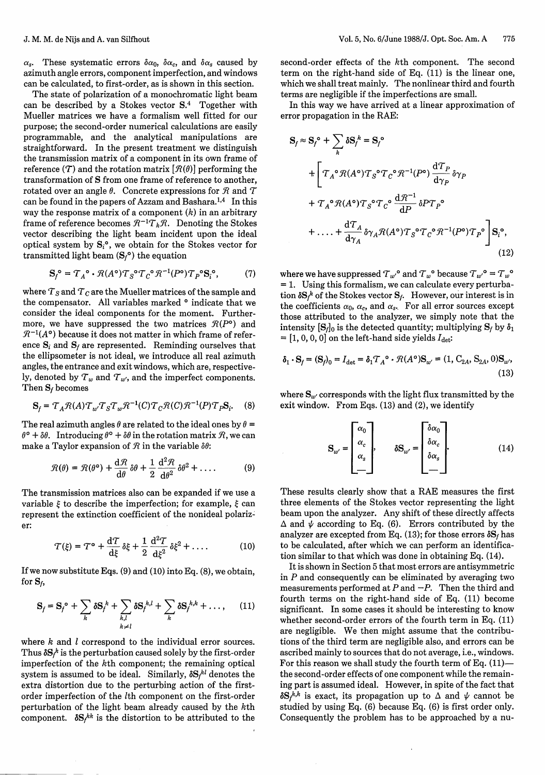$\alpha_s$ . These systematic errors  $\delta \alpha_0$ ,  $\delta \alpha_c$ , and  $\delta \alpha_s$  caused by azimuth angle errors, component imperfection, and windows can be calculated, to first-order, as is shown in this section.

The state of polarization of a monochromatic light beam can be described by a Stokes vector  $S<sup>4</sup>$  Together with Mueller matrices we have a formalism well fitted for our purpose; the second-order numerical calculations are easily programmable, and the analytical manipulations are straightforward. In the present treatment we distinguish the transmission matrix of a component in its own frame of reference (T) and the rotation matrix  $[\mathcal{R}(\theta)]$  performing the transformation of S from one frame of reference to another, rotated over an angle  $\theta$ . Concrete expressions for  $\mathcal{R}$  and  $\mathcal{T}$ can be found in the papers of Azzam and Bashara.<sup>1,4</sup> In this way the response matrix of a component  $(k)$  in an arbitrary frame of reference becomes  $R^{-1}T_kR$ . Denoting the Stokes vector describing the light beam incident upon the ideal optical system by  $S_i^{\circ}$ , we obtain for the Stokes vector for transmitted light beam  $(S_f^{\circ})$  the equation

$$
\mathbf{S}_f^{\circ} = \mathcal{T}_A^{\circ} \cdot \mathcal{R}(A^{\circ}) \mathcal{T}_S^{\circ} \mathcal{T}_C^{\circ} \mathcal{R}^{-1}(P^{\circ}) \mathcal{T}_P^{\circ} \mathbf{S}_i^{\circ},\tag{7}
$$

where  $T_S$  and  $T_C$  are the Mueller matrices of the sample and the compensator. All variables marked **0** indicate that we consider the ideal components for the moment. Furthermore, we have suppressed the two matrices  $\mathcal{R}(P^{\circ})$  and  $\mathcal{R}^{-1}(A^{\circ})$  because it does not matter in which frame of reference  $S_i$  and  $S_f$  are represented. Reminding ourselves that the ellipsometer is not ideal, we introduce all real azimuth angles, the entrance and exit windows, which are, respectively, denoted by  $T_w$  and  $T_{w'}$ , and the imperfect components. Then  $S_f$  becomes

$$
\mathbf{S}_f = \mathcal{T}_A \mathcal{R}(A) \mathcal{T}_{w'} \mathcal{T}_S \mathcal{T}_w \mathcal{R}^{-1}(C) \mathcal{T}_C \mathcal{R}(C) \mathcal{R}^{-1}(P) \mathcal{T}_P \mathbf{S}_i. \tag{8}
$$

The real azimuth angles  $\theta$  are related to the ideal ones by  $\theta$  =  $\theta^{\circ} + \delta\theta$ . Introducing  $\theta^{\circ} + \delta\theta$  in the rotation matrix  $\mathcal{R}$ , we can make a Taylor expansion of  $\mathcal R$  in the variable  $\delta\theta$ :

$$
\mathcal{R}(\theta) = \mathcal{R}(\theta^{\circ}) + \frac{\mathrm{d}\mathcal{R}}{\mathrm{d}\theta} \, \delta\theta + \frac{1}{2} \, \frac{\mathrm{d}^2\mathcal{R}}{\mathrm{d}\theta^2} \, \delta\theta^2 + \dots \, . \tag{9}
$$

The transmission matrices also can be expanded if we use a variable  $\xi$  to describe the imperfection; for example,  $\xi$  can represent the extinction coefficient of the nonideal polarizer:

$$
\mathcal{T}(\xi) = \mathcal{T}^{\circ} + \frac{\mathrm{d}\mathcal{T}}{\mathrm{d}\xi} \, \delta\xi + \frac{1}{2} \, \frac{\mathrm{d}^2\mathcal{T}}{\mathrm{d}\xi^2} \, \delta\xi^2 + \dots \tag{10}
$$

If we now substitute Eqs.  $(9)$  and  $(10)$  into Eq.  $(8)$ , we obtain, for  $S_f$ ,

$$
\mathbf{S}_f = \mathbf{S}_f^{\circ} + \sum_k \delta \mathbf{S}_f^k + \sum_{k,l} \delta \mathbf{S}_f^{k,l} + \sum_k \delta \mathbf{S}_f^{k,k} + \dots, \qquad (11)
$$

where k and *l* correspond to the individual error sources. Thus  $\delta S_f^k$  is the perturbation caused solely by the first-order imperfection of the kth component; the remaining optical system is assumed to be ideal. Similarly,  $\delta S_f^{kl}$  denotes the extra distortion due to the perturbing action of the firstorder imperfection of the Ith component on the first-order perturbation of the light beam already caused by the kth component.  $\delta S_f^{kk}$  is the distortion to be attributed to the second-order effects of the kth component. The second term on the right-hand side of Eq. (11) is the linear one, which we shall treat mainly. The nonlinear third and fourth terms are negligible if the imperfections are small.

In this way we have arrived at a linear approximation of error propagation in the RAE:

$$
S_f \approx S_f^{\circ} + \sum_k \delta S_f^k = S_f^{\circ}
$$
  
+ 
$$
\left[ T_A^{\circ} \mathcal{R}(A^{\circ}) T_S^{\circ} T_C^{\circ} \mathcal{R}^{-1}(P^{\circ}) \frac{d T_P}{d \gamma_P} \delta \gamma_P \right. + T_A^{\circ} \mathcal{R}(A^{\circ}) T_S^{\circ} T_C^{\circ} \frac{d \mathcal{R}^{-1}}{d P} \delta P T_P^{\circ} + \dots + \frac{d T_A}{d \gamma_A} \delta \gamma_A \mathcal{R}(A^{\circ}) T_S^{\circ} T_C^{\circ} \mathcal{R}^{-1}(P^{\circ}) T_P^{\circ} \right] S_i^{\circ},
$$
\n(12)

where we have suppressed  $T_{w'}^{\circ}$  and  $T_{w}^{\circ}$  because  $T_{w'}^{\circ} = T_{w}^{\circ}$ = 1. Using this formalism, we can calculate every perturbation  $\delta S_f^k$  of the Stokes vector  $S_f$ . However, our interest is in the coefficients  $\alpha_0$ ,  $\alpha_c$ , and  $\alpha_s$ . For all error sources except those attributed to the analyzer, we simply note that the intensity  $[S_i]_0$  is the detected quantity; multiplying  $S_i$  by  $\delta_1$  $=[1, 0, 0, 0]$  on the left-hand side yields  $I_{\text{det}}$ :

$$
\delta_1 \cdot \mathbf{S}_f = (\mathbf{S}_f)_0 = I_{\text{det}} = \delta_1 T_A^{\circ} \cdot \mathcal{R}(A^{\circ}) \mathbf{S}_{w'} = (1, \mathbf{C}_{2A}, \mathbf{S}_{2A}, 0) \mathbf{S}_{w'},
$$
\n(13)

where  $S_{w'}$  corresponds with the light flux transmitted by the exit window. From Eqs. (13) and (2), we identify

$$
\mathbf{S}_{w'} = \begin{bmatrix} \alpha_0 \\ \alpha_c \\ \alpha_s \\ \vdots \end{bmatrix}, \qquad \delta \mathbf{S}_{w'} = \begin{bmatrix} \delta \alpha_0 \\ \delta \alpha_c \\ \delta \alpha_s \\ \vdots \end{bmatrix} . \tag{14}
$$

These results clearly show that a RAE measures the first three elements of the Stokes vector representing the light beam upon the analyzer. Any shift of these directly affects  $\Delta$  and  $\psi$  according to Eq. (6). Errors contributed by the analyzer are excepted from Eq. (13); for those errors  $\delta S_f$  has to be calculated, after which we can perform an identification similar to that which was done in obtaining Eq. (14).

It is shown in Section 5 that most errors are antisymmetric in  $P$  and consequently can be eliminated by averaging two measurements performed at  $P$  and  $-P$ . Then the third and fourth terms on the right-hand side of Eq. (11) become significant. In some cases it should be interesting to know whether second-order errors of the fourth term in Eq. (11) are negligible. We then might assume that the contributions of the third term are negligible also, and errors can be ascribed mainly to sources that do not average, i.e., windows. For this reason we shall study the fourth term of Eq.  $(11)$  the second-order effects of one component while the remaining part is assumed ideal. However, in spite of the fact that  $\delta S_f^{k,k}$  is exact, its propagation up to  $\Delta$  and  $\psi$  cannot be studied by using Eq. (6) because Eq. (6) is first order only. Consequently the problem has to be approached by a nu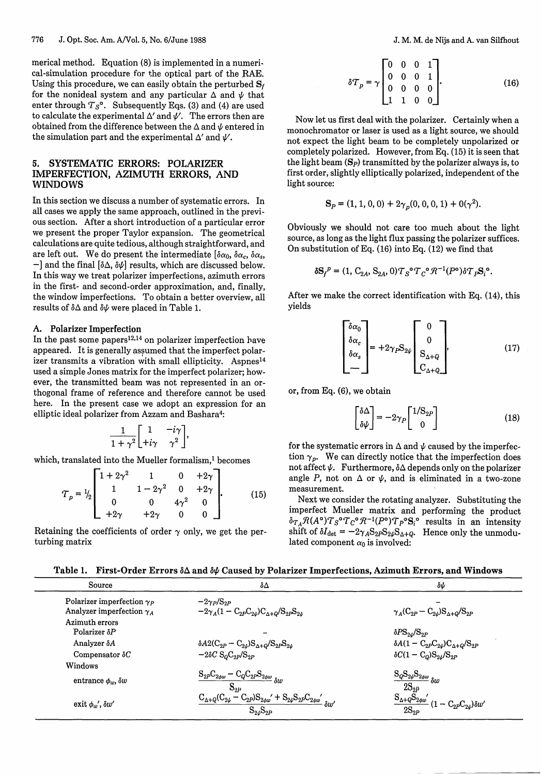merical method. Equation (8) is implemented in a numerical-simulation procedure for the optical part of the RAE. Using this procedure, we can easily obtain the perturbed  $S_f$ for the nonideal system and any particular  $\Delta$  and  $\psi$  that enter through  $T_S^{\circ}$ . Subsequently Eqs. (3) and (4) are used to calculate the experimental  $\Delta'$  and  $\psi'$ . The errors then are obtained from the difference between the  $\Delta$  and  $\psi$  entered in the simulation part and the experimental  $\Delta'$  and  $\psi'$ .

# 5. SYSTEMATIC ERRORS: POLARIZER IMPERFECTION, AZIMUTH ERRORS, AND WINDOWS

In this section we discuss a number of systematic errors. In all cases we apply the same approach, outlined in the previous section. After a short introduction of a particular error we present the proper Taylor expansion. The geometrical calculations are quite tedious, although straightforward, and are left out. We do present the intermediate  $[\delta \alpha_0, \delta \alpha_c, \delta \alpha_s,$  $-$ ] and the final  $[\delta\Delta, \delta\psi]$  results, which are discussed below. In this way we treat polarizer imperfections, azimuth errors in the first- and second-order approximation, and, finally, the window imperfections. To obtain a better overview, all results of  $\delta\Delta$  and  $\delta\psi$  were placed in Table 1.

# A. **Polarizer Imperfection**

In the past some papers<sup>12,14</sup> on polarizer imperfection have appeared. It is generally assumed that the imperfect polarizer transmits a vibration with small ellipticity. Aspnes'<sup>4</sup> used a simple Jones matrix for the imperfect polarizer; however, the transmitted beam was not represented in an orthogonal frame of reference and therefore cannot be used here. In the present case we adopt an expression for an elliptic ideal polarizer from Azzam and Bashara<sup>4</sup>:

$$
\frac{1}{1+\gamma^2}\begin{bmatrix} 1 & -i\gamma \\ +i\gamma & \gamma^2 \end{bmatrix},
$$

which, translated into the Mueller formalism,<sup>1</sup> becomes

$$
\mathcal{T}_p = \frac{1}{2} \begin{bmatrix} 1 + 2\gamma^2 & 1 & 0 & +2\gamma \\ 1 & 1 - 2\gamma^2 & 0 & +2\gamma \\ 0 & 0 & 4\gamma^2 & 0 \\ +2\gamma & +2\gamma & 0 & 0 \end{bmatrix} .
$$
 (15)

Retaining the coefficients of order  $\gamma$  only, we get the perturbing matrix

J. M. M. de Nijs and A. van Silfhout

$$
\delta \mathcal{T}_p = \gamma \begin{bmatrix} 0 & 0 & 0 & 1 \\ 0 & 0 & 0 & 1 \\ 0 & 0 & 0 & 0 \\ 1 & 1 & 0 & 0 \end{bmatrix} . \tag{16}
$$

Now let us first deal with the polarizer. Certainly when a monochromator or laser is used as a light source, we should not expect the light beam to be completely unpolarized or completely polarized. However, from Eq. (15) it is seen that the light beam **(Sp)** transmitted by the polarizer always is, to first order, slightly elliptically polarized, independent of the light source:

$$
S_P = (1, 1, 0, 0) + 2\gamma_p(0, 0, 0, 1) + 0(\gamma^2).
$$

Obviously we should not care too much about the light source, as long as the light flux passing the polarizer suffices. On substitution of Eq. (16) into Eq. (12) we find that

$$
\delta \mathbf{S}_f^P = (1, \mathbf{C}_{2A}, \mathbf{S}_{2A}, 0) \mathbf{T}_S^{\circ} \mathbf{T}_C^{\circ} \mathcal{R}^{-1}(P^{\circ}) \delta \mathbf{T}_P \mathbf{S}_i^{\circ}.
$$

After we make the correct identification with Eq. (14), this yields

$$
\begin{bmatrix} \delta \alpha_0 \\ \delta \alpha_c \\ \delta \alpha_s \\ - \end{bmatrix} = +2\gamma_P S_{2\psi} \begin{bmatrix} 0 \\ 0 \\ S_{\Delta+Q} \\ C_{\Delta+Q} \end{bmatrix}, \qquad (17)
$$

or, from Eq. (6), we obtain

$$
\begin{bmatrix} \delta \Delta \\ \delta \psi \end{bmatrix} = -2\gamma_P \begin{bmatrix} 1/\mathcal{S}_{2P} \\ 0 \end{bmatrix}
$$
 (18)

for the systematic errors in  $\Delta$  and  $\psi$  caused by the imperfection  $\gamma_p$ . We can directly notice that the imperfection does not affect  $\psi$ . Furthermore,  $\delta\Delta$  depends only on the polarizer angle *P*, not on  $\Delta$  or  $\psi$ , and is eliminated in a two-zone measurement.

Next we consider the rotating analyzer. Substituting the imperfect Mueller matrix and performing the product  $\delta\tau_A\mathcal{R}(A^\mathsf{o})\overline{T}_S{}^\mathsf{o}\overline{T}_C{}^\mathsf{o}\mathcal{R}^{-1}(P^\mathsf{o})\overline{T}_P{}^\mathsf{o}\mathbf{S}_i{}^\mathsf{o}$  results in an intensity shift of  $\delta I_{\text{det}} = -2\gamma_A \mathbf{S}_{2P} \mathbf{S}_{2\psi} \mathbf{S}_{\Delta+\phi}$ . Hence only the unmodu lated component  $\alpha_0$  is involved:

Table 1. First-Order Errors  $\delta \Delta$  and  $\delta \psi$  Caused by Polarizer Imperfections, Azimuth Errors, and Windows

| Source                            | δΔ                                                                                                                                                                           | $\delta \psi$                                                                                                                     |
|-----------------------------------|------------------------------------------------------------------------------------------------------------------------------------------------------------------------------|-----------------------------------------------------------------------------------------------------------------------------------|
| Polarizer imperfection $\gamma_P$ | $-2\gamma P/S_{2P}$                                                                                                                                                          |                                                                                                                                   |
| Analyzer imperfection $\gamma_A$  | $-2\gamma_A(1-C_{2P}C_{2\psi})C_{\Delta+Q}/S_{2P}S_{2\psi}$                                                                                                                  | $\gamma_A (C_{2P} - C_{2\psi}) S_{\Delta+Q} / S_{2P}$                                                                             |
| Azimuth errors                    |                                                                                                                                                                              |                                                                                                                                   |
| Polarizer $\delta P$              |                                                                                                                                                                              | $\delta P\mathrm{S}_{2\psi}/\mathrm{S}_{2P}$                                                                                      |
| Analyzer $\delta A$               | $\delta A 2 (\mathrm{C}_{2P} - \mathrm{C}_{2\psi}) \mathrm{S}_{\Delta+Q} / \mathrm{S}_{2P} \mathrm{S}_{2\psi}$                                                               | $\delta A (1 - C_{2P} C_{2\psi}) C_{\Delta+Q} / S_{2P}$                                                                           |
| Compensator $\delta C$            | $-2\delta C S_{Q}C_{2P}/S_{2P}$                                                                                                                                              | $\delta C (1 - C_Q) S_{2\psi} / S_{2P}$                                                                                           |
| Windows                           |                                                                                                                                                                              |                                                                                                                                   |
| entrance $\phi_w$ , $\delta w$    | $\mathrm{S}_{2P}\mathrm{C}_{2\phi w}-\mathrm{C}_{Q}\mathrm{C}_{2P}\mathrm{S}_{2\phi w}\,_{\delta w}$<br>$S_{2P}$                                                             | $\mathrm{S}_{Q}\mathrm{S}_{2\psi}\mathrm{S}_{2\phi w}$ $_{\delta w}$<br>$2S_{2P}$                                                 |
| exit $\phi_{w'}$ , $\delta w'$    | ${\rm C}_{\Delta+Q}({\rm C}_{2\psi}\stackrel{\sim}{-}{\rm C}_{2P}){\rm S}_{2\phi w^{'}}+{\rm S}_{2\psi}{\rm S}_{2P}{\rm C}_{2\phi w^{'}}\,\delta w^{'}$<br>$S_{2\psi}S_{2P}$ | $\frac{\mathrm{S}_{\Delta+Q}\tilde{\mathrm{S}}_{2\phi w^{'}}}{2} (1-\mathrm{C}_{2P}\mathrm{C}_{2\psi})\delta w^{'}.$<br>$2S_{2P}$ |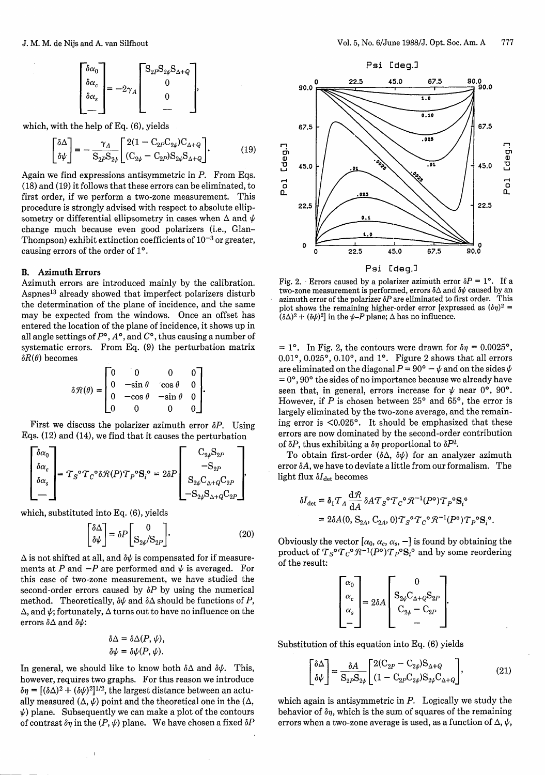$$
\begin{bmatrix} \delta \alpha_0 \\ \delta \alpha_c \\ \delta \alpha_s \\ - \end{bmatrix} = -2\gamma_A \begin{bmatrix} S_{2P} S_{2\psi} S_{\Delta + Q} \\ 0 \\ 0 \\ - \end{bmatrix},
$$

which, with the help of Eq. (6), yields

$$
\begin{bmatrix} \delta \Delta \\ \delta \psi \end{bmatrix} = -\frac{\gamma_A}{\mathcal{S}_{2P} \mathcal{S}_{2\psi}} \begin{bmatrix} 2(1 - \mathcal{C}_{2P} \mathcal{C}_{2\psi}) \mathcal{C}_{\Delta + Q} \\ (\mathcal{C}_{2\psi} - \mathcal{C}_{2P}) \mathcal{S}_{2\psi} \mathcal{S}_{\Delta + Q} \end{bmatrix} . \tag{19}
$$

Again we find expressions antisymmetric in  $P$ . From Eqs. (18) and (19) it follows that these errors can be eliminated, to first order, if we perform a two-zone measurement. This procedure is strongly advised with respect to absolute ellipsometry or differential ellipsometry in cases when  $\Delta$  and  $\psi$ change much because even good polarizers (i.e., Glan-Thompson) exhibit extinction coefficients of  $10^{-3}$  or greater, causing errors of the order of **10.**

#### **B. Azimuth Errors**

Azimuth errors are introduced mainly by the calibration. Aspnes'<sup>3</sup> already showed that imperfect polarizers disturb the determination of the plane of incidence, and the same may be expected from the windows. Once an offset has entered the location of the plane of incidence, it shows up in all angle settings of  $P^{\circ}$ ,  $A^{\circ}$ , and  $C^{\circ}$ , thus causing a number of systematic errors. From Eq. (9) the perturbation matrix  $\delta R(\theta)$  becomes

$$
\delta \mathcal{R}(\theta) = \begin{bmatrix} 0 & 0 & 0 & 0 \\ 0 & -\sin \theta & \cos \theta & 0 \\ 0 & -\cos \theta & -\sin \theta & 0 \\ 0 & 0 & 0 & 0 \end{bmatrix}.
$$

First we discuss the polarizer azimuth error  $\delta P$ . Using Eqs. (12) and (14), we find that it causes the perturbation

$$
\begin{bmatrix} \delta \alpha_0 \\ \delta \alpha_c \\ \delta \alpha_s \\ - \end{bmatrix} = \mathcal{T}_S^{\circ} \mathcal{T}_C^{\circ} \delta \mathcal{R}(P) \mathcal{T}_P^{\circ} \mathbf{S}_i^{\circ} = 2 \delta P \begin{bmatrix} \mathbf{C}_{2\psi} \mathbf{S}_{2P} \\ -\mathbf{S}_{2P} \\ \mathbf{S}_{2\psi} \mathbf{C}_{\Delta+Q} \mathbf{C}_{2P} \\ -\mathbf{S}_{2\psi} \mathbf{S}_{\Delta+Q} \mathbf{C}_{2P} \end{bmatrix},
$$

which, substituted into Eq. (6), yields

 $\mathfrak{f}$ 

$$
\begin{bmatrix} \delta \Delta \\ \delta \psi \end{bmatrix} = \delta P \begin{bmatrix} 0 \\ \mathbf{S}_{2\psi} / \mathbf{S}_{2P} \end{bmatrix} . \tag{20}
$$

 $\Delta$  is not shifted at all, and  $\delta \psi$  is compensated for if measurements at P and  $-P$  are performed and  $\psi$  is averaged. For this case of two-zone measurement, we have studied the second-order errors caused by  $\delta P$  by using the numerical method. Theoretically,  $\delta \psi$  and  $\delta \Delta$  should be functions of *P*,  $\Delta$ , and  $\psi$ ; fortunately,  $\Delta$  turns out to have no influence on the errors  $\delta\Delta$  and  $\delta\psi$ :

$$
\delta \Delta = \delta \Delta(P, \psi),
$$
  

$$
\delta \psi = \delta \psi(P, \psi).
$$

In general, we should like to know both  $\delta \Delta$  and  $\delta \psi$ . This, however, requires two graphs. For this reason we introduce  $\delta \eta = [(\delta \Delta)^2 + (\delta \psi)^2]^{1/2}$ , the largest distance between an actually measured  $(\Delta, \psi)$  point and the theoretical one in the  $(\Delta, \psi)$  $\psi$ ) plane. Subsequently we can make a plot of the contours of contrast  $\delta \eta$  in the  $(P, \psi)$  plane. We have chosen a fixed  $\delta P$ 



Fig. 2. Errors caused by a polarizer azimuth error  $\delta P = 1^{\circ}$ . If a two-zone measurement is performed, errors δΔ and δ $\psi$  caused by an azimuth error of the polarizer  $\delta P$  are eliminated to first order. This plot shows the remaining higher-order error [expressed as  $(\delta \eta)^2$  =  $(\delta \Delta)^2 + (\delta \psi)^2$  in the  $\psi$ -P plane;  $\Delta$  has no influence.

 $= 1^{\circ}$ . In Fig. 2, the contours were drawn for  $\delta \eta = 0.0025^{\circ}$ ,  $0.01$ °,  $0.025$ °,  $0.10$ °, and  $1$ °. Figure 2 shows that all errors are eliminated on the diagonal  $P = 90^\circ - \psi$  and on the sides  $\psi$ **=** 0°,90° the sides of no importance because we already have seen that, in general, errors increase for  $\psi$  near 0°, 90°. However, if  $P$  is chosen between 25° and 65°, the error is largely eliminated by the two-zone average, and the remaining error is <0.025°. It should be emphasized that these errors are now dominated by the second-order contribution of  $\delta P$ , thus exhibiting a  $\delta \eta$  proportional to  $\delta P^2$ .

To obtain first-order  $(\delta \Delta, \delta \psi)$  for an analyzer azimuth error  $\delta A$ , we have to deviate a little from our formalism. The light flux  $\delta I_{\text{det}}$  becomes

$$
\delta I_{\text{det}} = \delta_1 T_A \frac{\mathrm{d} \mathcal{R}}{\mathrm{d} A} \delta A T_S^{\circ} T_C^{\circ} \mathcal{R}^{-1} (P^{\circ}) T_P^{\circ} \mathbf{S}_i^{\circ}
$$
  
= 2\delta A(0, S<sub>2A</sub>, C<sub>2A</sub>, 0)  $T_S^{\circ} T_C^{\circ} \mathcal{R}^{-1} (P^{\circ}) T_P^{\circ} \mathbf{S}_i^{\circ}.$ 

Obviously the vector  $[\alpha_0, \alpha_c, \alpha_s, -]$  is found by obtaining the product of  $T_S^{\circ}T_C^{\circ}R^{-1}(P^{\circ})T_P^{\circ}S_i^{\circ}$  and by some reordering of the result:

$$
\begin{bmatrix} \alpha_0 \\ \alpha_c \\ \alpha_s \\ - \end{bmatrix} = 2\delta A \begin{bmatrix} 0 \\ \mathbf{S}_{2\psi}\mathbf{C}_{\Delta+Q}\mathbf{S}_{2P} \\ \mathbf{C}_{2\psi} - \mathbf{C}_{2P} \\ - \end{bmatrix}.
$$

Substitution of this equation into Eq. (6) yields

$$
\begin{bmatrix} \delta \Delta \\ \delta \psi \end{bmatrix} = \frac{\delta A}{\mathcal{S}_{2P} \mathcal{S}_{2\psi}} \begin{bmatrix} 2(\mathcal{C}_{2P} - \mathcal{C}_{2\psi}) \mathcal{S}_{\Delta + Q} \\ (1 - \mathcal{C}_{2P} \mathcal{C}_{2\psi}) \mathcal{S}_{2\psi} \mathcal{C}_{\Delta + Q} \end{bmatrix},
$$
(21)

which again is antisymmetric in  $P$ . Logically we study the behavior of *6n,* which is the sum of squares of the remaining errors when a two-zone average is used, as a function of  $\Delta$ ,  $\psi$ ,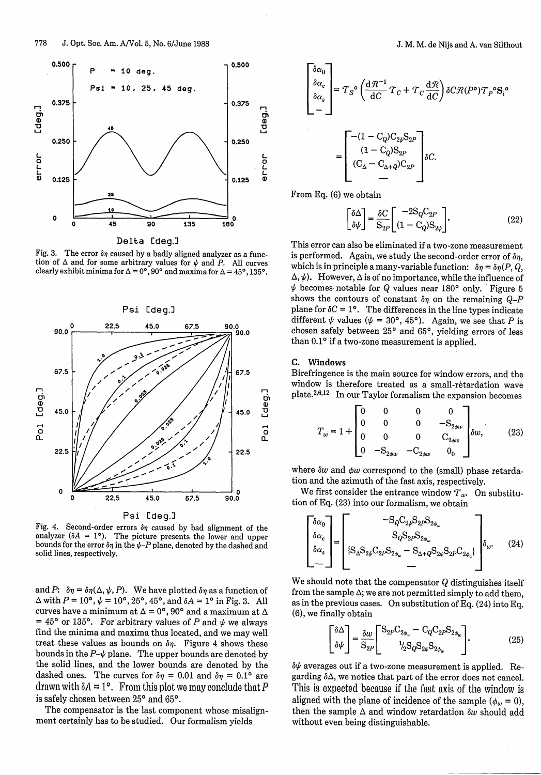

**Delta** [deg.]

Fig. 3. The error  $\delta\eta$  caused by a badly aligned analyzer as a function of  $\Delta$  and for some arbitrary values for  $\psi$  and P. All curves clearly exhibit minima for  $\Delta = 0^{\circ}$ , 90° and maxima for  $\Delta = 45^{\circ}$ , 135°.



Fig. 4. Second-order errors  $\delta\eta$  caused by bad alignment of the analyzer ( $\delta A = 1^{\circ}$ ). The picture presents the lower and upper bounds for the error  $\delta \eta$  in the  $\psi$ -P plane, denoted by the dashed and solid lines, respectively.

and *P*:  $\delta \eta = \delta \eta(\Delta, \psi, P)$ . We have plotted  $\delta \eta$  as a function of  $\Delta$  with  $P = 10^{\circ}$ ,  $\psi = 10^{\circ}$ ,  $25^{\circ}$ ,  $45^{\circ}$ , and  $\delta A = 1^{\circ}$  in Fig. 3. All curves have a minimum at  $\Delta = 0^{\circ}$ , 90° and a maximum at  $\Delta$  $= 45^{\circ}$  or 135°. For arbitrary values of P and  $\psi$  we always find the minima and maxima thus located, and we may well treat these values as bounds on  $\delta \eta$ . Figure 4 shows these bounds in the  $P-\psi$  plane. The upper bounds are denoted by the solid lines, and the lower bounds are denoted by the dashed ones. The curves for  $\delta \eta = 0.01$  and  $\delta \eta = 0.1$ ° are drawn with  $\delta A = 1^{\circ}$ . From this plot we may conclude that P is safely chosen between 25° and 65°.

The compensator is the last component whose misalignment certainly has to be studied. Our formalism yields

$$
J. M. M. de Nijs and A. van Silfho
$$
  

$$
\left[\begin{matrix}\n\delta \alpha_0 \\
\delta \alpha_c \\
\delta \alpha_s\n\end{matrix}\right] = T_S^{\circ} \left(\frac{d\mathcal{R}^{-1}}{dC} T_C + T_C \frac{d\mathcal{R}}{dC}\right) \delta C \mathcal{R}(P^{\circ}) T_P^{\circ} S_i^{\circ}
$$
  

$$
= \left[\begin{matrix}\n-(1 - C_Q)C_{2\psi}S_{2P} \\
(1 - C_Q)S_{2P} \\
(C_{\Delta} - C_{\Delta + Q})C_{2P} \\
\end{matrix}\right] \delta C.
$$

From Eq. (6) we obtain

$$
\begin{bmatrix} \delta \Delta \\ \delta \psi \end{bmatrix} = \frac{\delta C}{S_{2P}} \begin{bmatrix} -2S_Q C_{2P} \\ (1 - C_Q)S_{2\psi} \end{bmatrix}.
$$
 (22)

This error can also be eliminated if a two-zone measurement is performed. Again, we study the second-order error of *6n,* which is in principle a many-variable function:  $\delta \eta = \delta \eta (P, Q, \theta)$  $\Delta, \psi$ ). However,  $\Delta$  is of no importance, while the influence of  $\psi$  becomes notable for Q values near 180° only. Figure 5 shows the contours of constant  $\delta\eta$  on the remaining  $Q-P$ plane for  $\delta C = 1^{\circ}$ . The differences in the line types indicate different  $\psi$  values ( $\psi = 30^{\circ}$ , 45°). Again, we see that P is chosen safely between **250** and 65°, yielding errors of less than 0.1° if a two-zone measurement is applied.

#### **C. Windows**

Birefringence is the main source for window errors, and the window is therefore treated as a small-retardation wave plate.<sup>2,6,12</sup> In our Taylor formalism the expansion becomes

$$
T_w = 1 + \begin{bmatrix} 0 & 0 & 0 & 0 \\ 0 & 0 & 0 & -\mathcal{S}_{2\phi w} \\ 0 & 0 & 0 & \mathcal{C}_{2\phi w} \\ 0 & -\mathcal{S}_{2\phi w} & -\mathcal{C}_{2\phi w} & 0 \end{bmatrix} \delta w, \qquad (23)
$$

where  $\delta w$  and  $\phi w$  correspond to the (small) phase retardation and the azimuth of the fast axis, respectively.

We first consider the entrance window  $T_w$ . On substitution of Eq. (23) into our formalism, we obtain

$$
\begin{bmatrix}\n\delta \alpha_0 \\
\delta \alpha_c \\
\delta \alpha_s\n\end{bmatrix} = \begin{bmatrix}\n- \mathcal{S}_Q \mathcal{C}_{2\psi} \mathcal{S}_{2P} \mathcal{S}_{2\phi_w} \\
\mathcal{S}_Q \mathcal{S}_{2P} \mathcal{S}_{2\phi_w} \\
\mathcal{S}_Q \mathcal{S}_{2P} \mathcal{S}_{2\phi_w} - \mathcal{S}_{\Delta + Q} \mathcal{S}_{2\psi} \mathcal{S}_{2P} \mathcal{C}_{2\phi_w}\n\end{bmatrix} \delta_w.
$$
\n(24)

We should note that the compensator  $Q$  distinguishes itself from the sample  $\Delta$ ; we are not permitted simply to add them, as in the previous cases. On substitution of Eq. (24) into Eq. (6), we finally obtain

$$
\begin{bmatrix} \delta \Delta \\ \delta \psi \end{bmatrix} = \frac{\delta w}{S_{2P}} \begin{bmatrix} S_{2P} C_{2\phi_w} - C_Q C_{2P} S_{2\phi_w} \\ \frac{1}{2} S_Q S_{2\psi} S_{2\phi_w} \end{bmatrix} . \tag{25}
$$

 $\delta\psi$  averages out if a two-zone measurement is applied. Regarding  $\delta\Delta$ , we notice that part of the error does not cancel. This is expected because if the fast axis of the window is aligned with the plane of incidence of the sample  $(\phi_w = 0)$ , then the sample  $\Delta$  and window retardation  $\delta w$  should add without even being distinguishable.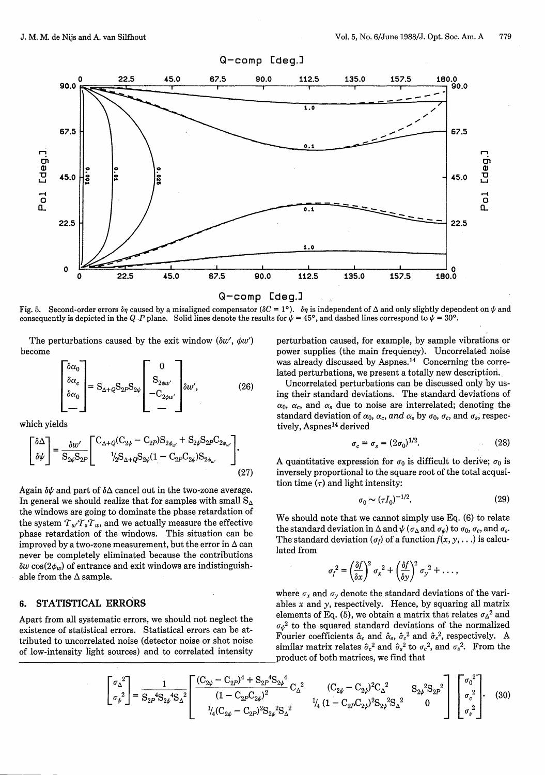

Fig. 5. Second-order errors  $\delta\eta$  caused by a misaligned compensator ( $\delta C = 1^\circ$ ).  $\delta\eta$  is independent of  $\Delta$  and only slightly dependent on  $\psi$  and consequently is depicted in the Q-P plane. Solid lines denote the results for  $\psi = 45^{\circ}$ , and dashed lines correspond to  $\psi = 30^{\circ}$ .

The perturbations caused by the exit window  $(\delta w', \phi w')$ become

$$
\begin{bmatrix} \delta \alpha_0 \\ \delta \alpha_c \\ \delta \alpha_0 \\ - \end{bmatrix} = S_{\Delta + Q} S_{2P} S_{2\psi} \begin{bmatrix} 0 \\ S_{2\phi w'} \\ -C_{2\phi w'} \\ - \end{bmatrix} \delta w', \qquad (26)
$$

which yields

$$
\begin{bmatrix} \delta \Delta \\ \delta \psi \end{bmatrix} = \frac{\delta w'}{S_{2\psi} S_{2P}} \begin{bmatrix} C_{\Delta + Q} (C_{2\psi} - C_{2P}) S_{2\phi_{w'}} + S_{2\psi} S_{2P} C_{2\phi_{w'}} \\ \frac{1}{2} S_{\Delta + Q} S_{2\psi} (1 - C_{2P} C_{2\psi}) S_{2\phi_{w'}} \end{bmatrix} . \tag{27}
$$

Again  $\delta \psi$  and part of  $\delta \Delta$  cancel out in the two-zone average. In general we should realize that for samples with small  $S_{\Delta}$ the windows are going to dominate the phase retardation of the system  $T_w T_s T_w$ , and we actually measure the effective phase retardation of the windows. This situation can be improved by a two-zone measurement, but the error in  $\Delta$  can never be completely eliminated because the contributions  $\delta w \cos(2\phi_w)$  of entrance and exit windows are indistinguishable from the  $\Delta$  sample.

## **6. STATISTICAL ERRORS**

Apart from all systematic errors, we should not neglect the existence of statistical errors. Statistical errors can be attributed to uncorrelated noise (detector noise or shot noise of low-intensity light sources) and to correlated intensity

perturbation caused, for example, by sample vibrations or power supplies (the main frequency). Uncorrelated noise was already discussed by Aspnes.<sup>14</sup> Concerning the correlated perturbations, we present a totally new description.

Uncorrelated perturbations can be discussed only by using their standard deviations. The standard deviations of  $\alpha_0$ ,  $\alpha_c$ , and  $\alpha_s$  due to noise are interrelated; denoting the standard deviation of  $\alpha_0$ ,  $\alpha_c$ , and  $\alpha_s$  by  $\sigma_0$ ,  $\sigma_c$ , and  $\sigma_s$ , respectively, Aspnes<sup>14</sup> derived

$$
\sigma_c = \sigma_s = (2\sigma_0)^{1/2}.\tag{28}
$$

A quantitative expression for  $\sigma_0$  is difficult to derive;  $\sigma_0$  is inversely proportional to the square root of the total acqusition time  $(\tau)$  and light intensity:

$$
\sigma_0 \sim (\tau I_0)^{-1/2}.\tag{29}
$$

We should note that we cannot simply use Eq. (6) to relate the standard deviation in  $\Delta$  and  $\psi$  ( $\sigma_{\Delta}$  and  $\sigma_{\psi}$ ) to  $\sigma_0$ ,  $\sigma_c$ , and  $\sigma_s$ . The standard deviation ( $\sigma_f$ ) of a function  $f(x, y, \ldots)$  is calculated from

$$
\sigma_f^2 = \left(\frac{\delta f}{\delta x}\right)^2 \sigma_x^2 + \left(\frac{\delta f}{\delta y}\right)^2 \sigma_y^2 + \dots,
$$

where  $\sigma_x$  and  $\sigma_y$  denote the standard deviations of the variables  $x$  and  $y$ , respectively. Hence, by squaring all matrix elements of Eq. (5), we obtain a matrix that relates  $\sigma_{\Delta}^2$  and  $\sigma_{\mu}^{2}$  to the squared standard deviations of the normalized Fourier coefficients  $\hat{\alpha}_c$  and  $\hat{\alpha}_s$ ,  $\hat{\sigma}_c^2$  and  $\hat{\sigma}_s^2$ , respectively. A similar matrix relates  $\hat{\sigma}_c^2$  and  $\hat{\sigma}_s^2$  to  $\sigma_c^2$ , and  $\sigma_s^2$ . From the product of both matrices, we find that

$$
\begin{bmatrix} \sigma_{\Delta}^{2} \\ \sigma_{\psi}^{2} \end{bmatrix} = \frac{1}{S_{2P}{}^{4}S_{2\psi}{}^{4}S_{\Delta}^{2}} \begin{bmatrix} \frac{(C_{2\psi} - C_{2P})^{4} + S_{2P}{}^{4}S_{2\psi}{}^{4}}{(1 - C_{2P}C_{2\psi})^{2}} C_{\Delta}^{2} & (C_{2\psi} - C_{2\psi})^{2}C_{\Delta}^{2} & S_{2\psi}{}^{2}S_{2P}{}^{2} \\ \frac{1}{4}(C_{2\psi} - C_{2P})^{2}S_{2\psi}{}^{2}S_{\Delta}^{2} & \frac{1}{4}(1 - C_{2P}C_{2\psi})^{2}S_{2\psi}{}^{2}S_{\Delta}^{2} & 0 \end{bmatrix} \begin{bmatrix} \sigma_{0}^{2} \\ \sigma_{c}^{2} \\ \sigma_{s}^{2} \end{bmatrix} .
$$
 (30)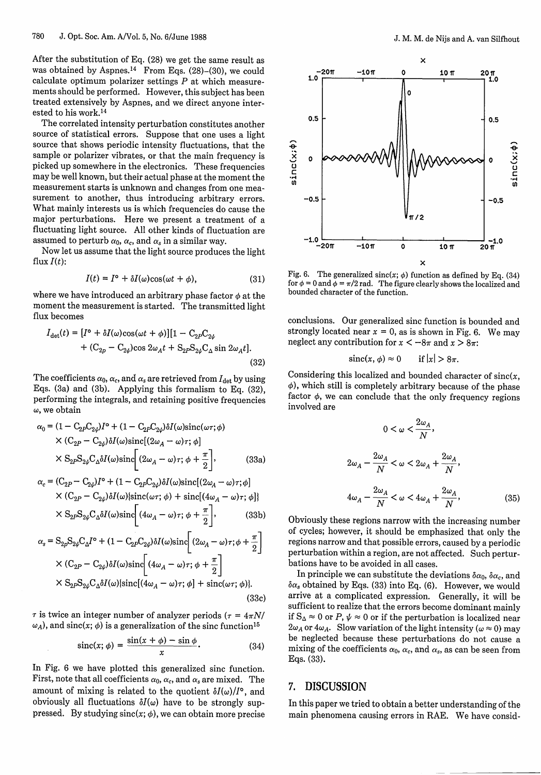After the substitution of Eq. (28) we get the same result as was obtained by Aspnes.<sup>14</sup> From Eqs. (28)-(30), we could calculate optimum polarizer settings  $P$  at which measurements should be performed. However, this subject has been treated extensively by Aspnes, and we direct anyone interested to his work.<sup>14</sup>

The correlated intensity perturbation constitutes another source of statistical errors. Suppose that one uses a light source that shows periodic intensity fluctuations, that the sample or polarizer vibrates, or that the main frequency is picked up somewhere in the electronics. These frequencies may be well known, but their actual phase at the moment the measurement starts is unknown and changes from one measurement to another, thus introducing arbitrary errors. What mainly interests us is which frequencies do cause the major perturbations. Here we present a treatment of a fluctuating light source. All other kinds of fluctuation are assumed to perturb  $\alpha_0$ ,  $\alpha_c$ , and  $\alpha_s$  in a similar way.

Now let us assume that the light source produces the light flux  $I(t)$ :

$$
I(t) = I^{\circ} + \delta I(\omega)\cos(\omega t + \phi), \tag{31}
$$

where we have introduced an arbitrary phase factor  $\phi$  at the moment the measurement is started. The transmitted light flux becomes

$$
I_{\text{det}}(t) = [I^{\circ} + \delta I(\omega)\cos(\omega t + \phi)][1 - C_{2P}C_{2\psi} + (C_{2p} - C_{2\psi})\cos 2\omega_A t + S_{2P}S_{2\psi}C_{\Delta}\sin 2\omega_A t].
$$
\n(32)

The coefficients  $\alpha_0$ ,  $\alpha_c$ , and  $\alpha_s$  are retrieved from  $I_{\text{det}}$  by using Eqs. (3a) and (3b). Applying this formalism to Eq. (32), performing the integrals, and retaining positive frequencies *w,* we obtain

$$
\alpha_0 = (1 - C_{2P}C_{2\psi})I^{\circ} + (1 - C_{2P}C_{2\psi})\delta I(\omega)\operatorname{sinc}(\omega\tau;\phi)
$$
  
×  $(C_{2P} - C_{2\psi})\delta I(\omega)\operatorname{sinc}[(2\omega_A - \omega)\tau;\phi]$   
×  $S_{2P}S_{2\psi}C_{\Delta}\delta I(\omega)\operatorname{sinc}[(2\omega_A - \omega)\tau;\phi + \frac{\pi}{2}],$  (33a)

$$
\alpha_c = (\mathbf{C}_{2P} - \mathbf{C}_{2\psi})I^{\circ} + (1 - \mathbf{C}_{2P}\mathbf{C}_{2\psi})\delta I(\omega)\text{sinc}[(2\omega_A - \omega)\tau; \phi] \times (\mathbf{C}_{2P} - \mathbf{C}_{2\psi})\delta I(\omega)\text{sinc}(\omega\tau; \phi) + \text{sinc}[(4\omega_A - \omega)\tau; \phi]\n\n\times \mathbf{S}_{2P}\mathbf{S}_{2\psi}\mathbf{C}_{\Delta}\delta I(\omega)\text{sinc}\left[(4\omega_A - \omega)\tau; \phi + \frac{\pi}{2}\right],
$$
\n(33b)

$$
\alpha_s = S_{2p} S_{2\psi} C_{\Delta} I^{\circ} + (1 - C_{2p} C_{2\psi}) \delta I(\omega) \text{sinc} \left[ (2\omega_A - \omega)\tau; \phi + \frac{\pi}{2} \right]
$$
  
 
$$
\times (C_{2p} - C_{2\psi}) \delta I(\omega) \text{sinc} \left[ (4\omega_A - \omega)\tau; \phi + \frac{\pi}{2} \right]
$$
  
 
$$
\times S_{2p} S_{2\psi} C_{\Delta} \delta I(\omega) \left[ \text{sinc} [(4\omega_A - \omega)\tau; \phi] + \text{sinc}(\omega\tau; \phi) \right].
$$
  
(33c)

 $\tau$  is twice an integer number of analyzer periods ( $\tau = 4\pi N$ /  $\omega_A$ ), and sinc(x;  $\phi$ ) is a generalization of the sinc function<sup>15</sup>

$$
\operatorname{sinc}(x;\,\phi) = \frac{\sin(x+\phi) - \sin\phi}{x}.\tag{34}
$$

In Fig. 6 we have plotted this generalized sinc function. First, note that all coefficients  $\alpha_0$ ,  $\alpha_c$ , and  $\alpha_s$  are mixed. The amount of mixing is related to the quotient  $\delta I(\omega)/I^{\circ}$ , and obviously all fluctuations  $\delta I(\omega)$  have to be strongly suppressed. By studying  $sinc(x; \phi)$ , we can obtain more precise



Fig. 6. The generalized sinc(x;  $\phi$ ) function as defined by Eq. (34) for  $\phi = 0$  and  $\bar{\phi} = \pi/2$  rad. The figure clearly shows the localized and bounded character of the function.

conclusions. Our generalized sinc function is bounded and strongly located near  $x = 0$ , as is shown in Fig. 6. We may neglect any contribution for  $x < -8\pi$  and  $x > 8\pi$ :

$$
\operatorname{sinc}(x,\phi) \approx 0 \qquad \text{if } |x| > 8\pi.
$$

Considering this localized and bounded character of  $sinc(x,$ *4),* which still is completely arbitrary because of the phase factor  $\phi$ , we can conclude that the only frequency regions involved are

$$
0 < \omega < \frac{2\omega_A}{N},
$$
\n
$$
2\omega_A - \frac{2\omega_A}{N} < \omega < 2\omega_A + \frac{2\omega_A}{N},
$$
\n
$$
4\omega_A - \frac{2\omega_A}{N} < \omega < 4\omega_A + \frac{2\omega_A}{N},
$$
\n
$$
(35)
$$

Obviously these regions narrow with the increasing number of cycles; however, it should be emphasized that only the regions narrow and that possible errors, caused by a periodic perturbation within a region, are not affected. Such perturbations have to be avoided in all cases.

In principle we can substitute the deviations  $\delta \alpha_0$ ,  $\delta \alpha_c$ , and  $\delta \alpha_s$  obtained by Eqs. (33) into Eq. (6). However, we would arrive at a complicated expression. Generally, it will be sufficient to realize that the errors become dominant mainly if  $S_{\Delta} \approx 0$  or *P*,  $\psi \approx 0$  or if the perturbation is localized near  $2\omega_A$  or  $4\omega_A$ . Slow variation of the light intensity ( $\omega \approx 0$ ) may be neglected because these perturbations do not cause a mixing of the coefficients  $\alpha_0$ ,  $\alpha_c$ , and  $\alpha_s$ , as can be seen from Eqs. (33).

## **7.** DISCUSSION

In this paper we tried to obtain a better understanding of the main phenomena causing errors in RAE. We have consid